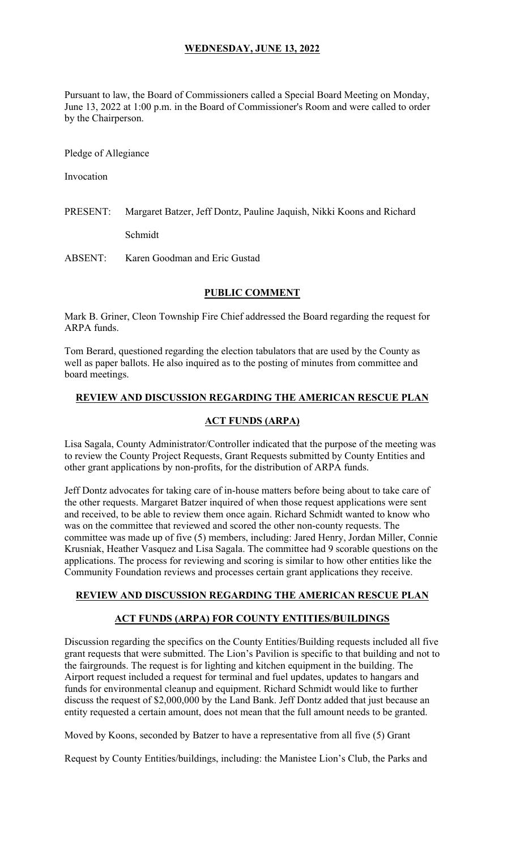# **WEDNESDAY, JUNE 13, 2022**

Pursuant to law, the Board of Commissioners called a Special Board Meeting on Monday, June 13, 2022 at 1:00 p.m. in the Board of Commissioner's Room and were called to order by the Chairperson.

Pledge of Allegiance

Invocation

PRESENT: Margaret Batzer, Jeff Dontz, Pauline Jaquish, Nikki Koons and Richard Schmidt

ABSENT: Karen Goodman and Eric Gustad

### **PUBLIC COMMENT**

Mark B. Griner, Cleon Township Fire Chief addressed the Board regarding the request for ARPA funds.

Tom Berard, questioned regarding the election tabulators that are used by the County as well as paper ballots. He also inquired as to the posting of minutes from committee and board meetings.

### **REVIEW AND DISCUSSION REGARDING THE AMERICAN RESCUE PLAN**

#### **ACT FUNDS (ARPA)**

Lisa Sagala, County Administrator/Controller indicated that the purpose of the meeting was to review the County Project Requests, Grant Requests submitted by County Entities and other grant applications by non-profits, for the distribution of ARPA funds.

Jeff Dontz advocates for taking care of in-house matters before being about to take care of the other requests. Margaret Batzer inquired of when those request applications were sent and received, to be able to review them once again. Richard Schmidt wanted to know who was on the committee that reviewed and scored the other non-county requests. The committee was made up of five (5) members, including: Jared Henry, Jordan Miller, Connie Krusniak, Heather Vasquez and Lisa Sagala. The committee had 9 scorable questions on the applications. The process for reviewing and scoring is similar to how other entities like the Community Foundation reviews and processes certain grant applications they receive.

### **REVIEW AND DISCUSSION REGARDING THE AMERICAN RESCUE PLAN**

### **ACT FUNDS (ARPA) FOR COUNTY ENTITIES/BUILDINGS**

Discussion regarding the specifics on the County Entities/Building requests included all five grant requests that were submitted. The Lion's Pavilion is specific to that building and not to the fairgrounds. The request is for lighting and kitchen equipment in the building. The Airport request included a request for terminal and fuel updates, updates to hangars and funds for environmental cleanup and equipment. Richard Schmidt would like to further discuss the request of \$2,000,000 by the Land Bank. Jeff Dontz added that just because an entity requested a certain amount, does not mean that the full amount needs to be granted.

Moved by Koons, seconded by Batzer to have a representative from all five (5) Grant

Request by County Entities/buildings, including: the Manistee Lion's Club, the Parks and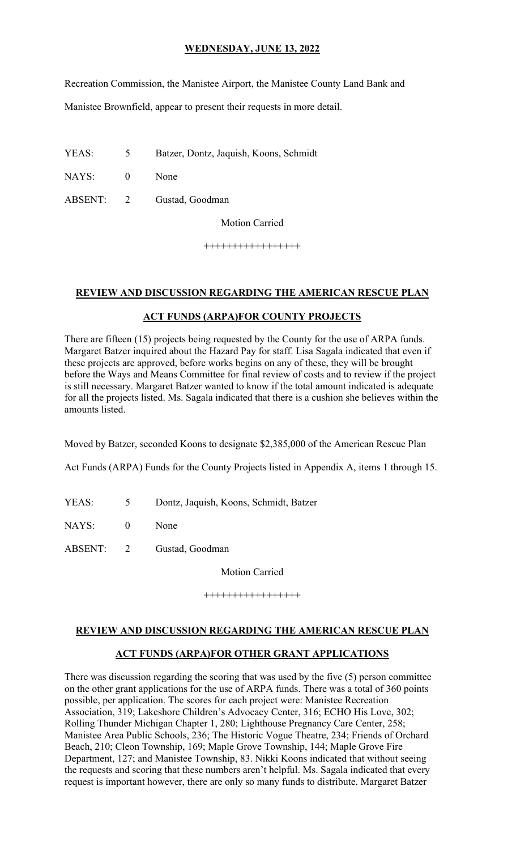# **WEDNESDAY, JUNE 13, 2022**

Recreation Commission, the Manistee Airport, the Manistee County Land Bank and

Manistee Brownfield, appear to present their requests in more detail.

YEAS: 5 Batzer, Dontz, Jaquish, Koons, Schmidt

NAYS: 0 None

ABSENT: 2 Gustad, Goodman

Motion Carried

+++++++++++++++++

### **REVIEW AND DISCUSSION REGARDING THE AMERICAN RESCUE PLAN**

### **ACT FUNDS (ARPA)FOR COUNTY PROJECTS**

There are fifteen (15) projects being requested by the County for the use of ARPA funds. Margaret Batzer inquired about the Hazard Pay for staff. Lisa Sagala indicated that even if these projects are approved, before works begins on any of these, they will be brought before the Ways and Means Committee for final review of costs and to review if the project is still necessary. Margaret Batzer wanted to know if the total amount indicated is adequate for all the projects listed. Ms. Sagala indicated that there is a cushion she believes within the amounts listed.

Moved by Batzer, seconded Koons to designate \$2,385,000 of the American Rescue Plan

Act Funds (ARPA) Funds for the County Projects listed in Appendix A, items 1 through 15.

- YEAS: 5 Dontz, Jaquish, Koons, Schmidt, Batzer
- NAYS: 0 None
- ABSENT: 2 Gustad, Goodman

Motion Carried

+++++++++++++++++

### **REVIEW AND DISCUSSION REGARDING THE AMERICAN RESCUE PLAN**

### **ACT FUNDS (ARPA)FOR OTHER GRANT APPLICATIONS**

There was discussion regarding the scoring that was used by the five (5) person committee on the other grant applications for the use of ARPA funds. There was a total of 360 points possible, per application. The scores for each project were: Manistee Recreation Association, 319; Lakeshore Children's Advocacy Center, 316; ECHO His Love, 302; Rolling Thunder Michigan Chapter 1, 280; Lighthouse Pregnancy Care Center, 258; Manistee Area Public Schools, 236; The Historic Vogue Theatre, 234; Friends of Orchard Beach, 210; Cleon Township, 169; Maple Grove Township, 144; Maple Grove Fire Department, 127; and Manistee Township, 83. Nikki Koons indicated that without seeing the requests and scoring that these numbers aren't helpful. Ms. Sagala indicated that every request is important however, there are only so many funds to distribute. Margaret Batzer